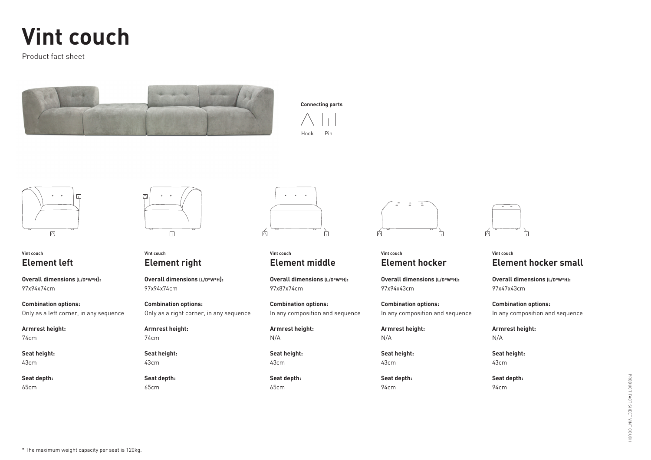# **Vint couch**

Product fact sheet







## **Vint couch Element left**

**Overall dimensions (L/D\*W\*H):** 97x94x74cm

**Combination options:**  Only as a left corner, in any sequence

#### **Armrest height:**  74cm

**Seat height:**  43cm

**Seat depth:** 65cm



# **Vint couch Element right**

**Overall dimensions (L/D\*W\*H):** 97x94x74cm

#### **Combination options:**  Only as a right corner, in any sequence

**Armrest height:**  74cm

**Seat height:**  43cm

**Seat depth:** 65cm



**Vint couch Element middle**

**Overall dimensions (L/D\*W\*H):** 97x87x74cm

**Combination options:**  In any composition and sequence

**Armrest height:**  N/A

**Seat height:** 43cm

**Seat depth:** 65cm



#### **Vint couch Element hocker**

**Overall dimensions (L/D\*W\*H):** 97x94x43cm

**Combination options:**  In any composition and sequence

**Armrest height:** N/A

**Seat height:**  43cm

**Seat depth:** 94cm



## **Vint couch Element hocker small**

**Overall dimensions (L/D\*W\*H):** 97x47x43cm

**Combination options:**  In any composition and sequence

**Armrest height:**  N/A

**Seat height:**  43cm

**Seat depth:** 94cm

\* The maximum weight capacity per seat is 120kg.